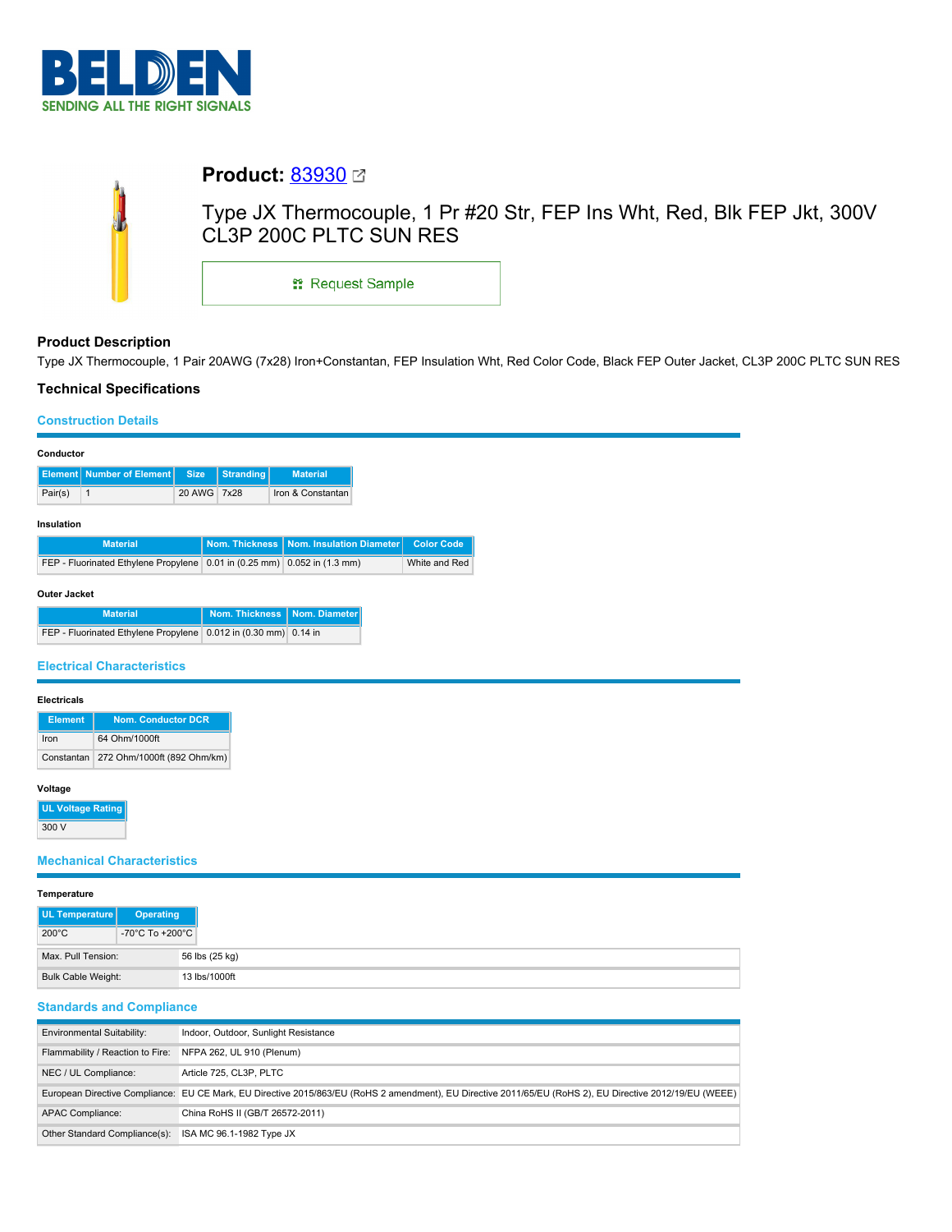

|  | <b>Product: 83930</b> ⊠                                                                           |  |  |  |  |  |  |
|--|---------------------------------------------------------------------------------------------------|--|--|--|--|--|--|
|  | Type JX Thermocouple, 1 Pr #20 Str, FEP Ins Wht, Red, Blk FEP Jkt, 300V<br>CL3P 200C PLTC SUN RES |  |  |  |  |  |  |
|  | <sub>■</sub> Request Sample                                                                       |  |  |  |  |  |  |

#### **Product Description**

Type JX Thermocouple, 1 Pair 20AWG (7x28) Iron+Constantan, FEP Insulation Wht, Red Color Code, Black FEP Outer Jacket, CL3P 200C PLTC SUN RES

## **Technical Specifications**

# **Construction Details**

|                                                         | <b>Construction Details</b>                                              |             |                  |                                           |  |                   |
|---------------------------------------------------------|--------------------------------------------------------------------------|-------------|------------------|-------------------------------------------|--|-------------------|
| Conductor                                               |                                                                          |             |                  |                                           |  |                   |
| <b>Element</b>                                          | <b>Number of Element</b>                                                 | <b>Size</b> | <b>Stranding</b> | <b>Material</b>                           |  |                   |
| Pair(s)                                                 | $\mathbf{1}$                                                             | 20 AWG 7x28 |                  | Iron & Constantan                         |  |                   |
| Insulation                                              |                                                                          |             |                  |                                           |  |                   |
|                                                         | <b>Material</b>                                                          |             |                  | Nom. Thickness   Nom. Insulation Diameter |  | <b>Color Code</b> |
|                                                         | FEP - Fluorinated Ethylene Propylene 0.01 in (0.25 mm) 0.052 in (1.3 mm) |             |                  |                                           |  | White and Red     |
| Outer Jacket                                            |                                                                          |             |                  |                                           |  |                   |
|                                                         | <b>Material</b>                                                          |             | Nom. Thickness   | Nom. Diameter                             |  |                   |
|                                                         | FEP - Fluorinated Ethylene Propylene 0.012 in (0.30 mm) 0.14 in          |             |                  |                                           |  |                   |
| <b>Electrical Characteristics</b><br><b>Electricals</b> |                                                                          |             |                  |                                           |  |                   |
| <b>Nom. Conductor DCR</b><br><b>Element</b>             |                                                                          |             |                  |                                           |  |                   |
| Iron                                                    | 64 Ohm/1000ft                                                            |             |                  |                                           |  |                   |
| Constantan                                              | 272 Ohm/1000ft (892 Ohm/km)                                              |             |                  |                                           |  |                   |
| Voltage                                                 |                                                                          |             |                  |                                           |  |                   |
| <b>UL Voltage Rating</b>                                |                                                                          |             |                  |                                           |  |                   |
| 300 V                                                   |                                                                          |             |                  |                                           |  |                   |
| <b>Mechanical Characteristics</b>                       |                                                                          |             |                  |                                           |  |                   |
| Temperature                                             |                                                                          |             |                  |                                           |  |                   |

| <b>Temperature</b> |                                              |                |
|--------------------|----------------------------------------------|----------------|
| UL Temperature     | <b>Operating</b>                             |                |
| $200^{\circ}$ C    | -70 $^{\circ}$ C To +200 $^{\circ}$ C $\mid$ |                |
| Max, Pull Tension: |                                              | 56 lbs (25 kg) |
|                    | Bulk Cable Weight:<br>13 lbs/1000ft          |                |

### **Standards and Compliance**

| <b>Environmental Suitability:</b> | Indoor, Outdoor, Sunlight Resistance                                                                                                                     |
|-----------------------------------|----------------------------------------------------------------------------------------------------------------------------------------------------------|
| Flammability / Reaction to Fire:  | NFPA 262, UL 910 (Plenum)                                                                                                                                |
| NEC / UL Compliance:              | Article 725, CL3P, PLTC                                                                                                                                  |
|                                   | European Directive Compliance: EU CE Mark, EU Directive 2015/863/EU (RoHS 2 amendment), EU Directive 2011/65/EU (RoHS 2), EU Directive 2012/19/EU (WEEE) |
| <b>APAC Compliance:</b>           | China RoHS II (GB/T 26572-2011)                                                                                                                          |
| Other Standard Compliance(s):     | ISA MC 96.1-1982 Type JX                                                                                                                                 |